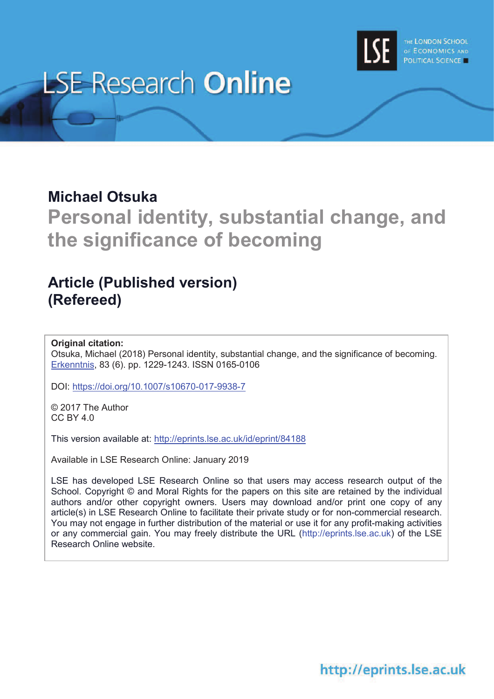

# **LSE Research Online**

## **Michael Otsuka**

**Personal identity, substantial change, and the significance of becoming**

# **Article (Published version) (Refereed)**

### **Original citation:**

Otsuka, Michael (2018) Personal identity, substantial change, and the significance of becoming. Erkenntnis, 83 (6). pp. 1229-1243. ISSN 0165-0106

DOI: https://doi.org/10.1007/s10670-017-9938-7

© 2017 The Author CC BY 4.0

This version available at: http://eprints.lse.ac.uk/id/eprint/84188

Available in LSE Research Online: January 2019

LSE has developed LSE Research Online so that users may access research output of the School. Copyright © and Moral Rights for the papers on this site are retained by the individual authors and/or other copyright owners. Users may download and/or print one copy of any article(s) in LSE Research Online to facilitate their private study or for non-commercial research. You may not engage in further distribution of the material or use it for any profit-making activities or any commercial gain. You may freely distribute the URL (http://eprints.lse.ac.uk) of the LSE Research Online website.

# http://eprints.lse.ac.uk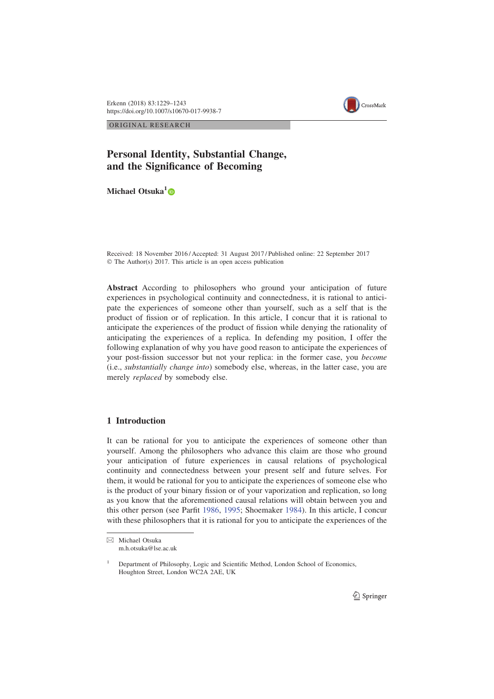Erkenn (2018) 83:1229–1243 https://doi.org/10.1007/s10670-017-9938-7



ORIGINAL RESEARCH

## Personal Identity, Substantial Change, and the Significance of Becoming

Michael Otsuka<sup>1</sup>®

Received: 18 November 2016 / Accepted: 31 August 2017 / Published online: 22 September 2017 © The Author(s) 2017. This article is an open access publication

Abstract According to philosophers who ground your anticipation of future experiences in psychological continuity and connectedness, it is rational to anticipate the experiences of someone other than yourself, such as a self that is the product of fission or of replication. In this article, I concur that it is rational to anticipate the experiences of the product of fission while denying the rationality of anticipating the experiences of a replica. In defending my position, I offer the following explanation of why you have good reason to anticipate the experiences of your post-fission successor but not your replica: in the former case, you become (i.e., substantially change into) somebody else, whereas, in the latter case, you are merely replaced by somebody else.

#### 1 Introduction

It can be rational for you to anticipate the experiences of someone other than yourself. Among the philosophers who advance this claim are those who ground your anticipation of future experiences in causal relations of psychological continuity and connectedness between your present self and future selves. For them, it would be rational for you to anticipate the experiences of someone else who is the product of your binary fission or of your vaporization and replication, so long as you know that the aforementioned causal relations will obtain between you and this other person (see Parfit 1986, 1995; Shoemaker 1984). In this article, I concur with these philosophers that it is rational for you to anticipate the experiences of the

<sup>&</sup>amp; Michael Otsuka m.h.otsuka@lse.ac.uk

<sup>&</sup>lt;sup>1</sup> Department of Philosophy, Logic and Scientific Method, London School of Economics, Houghton Street, London WC2A 2AE, UK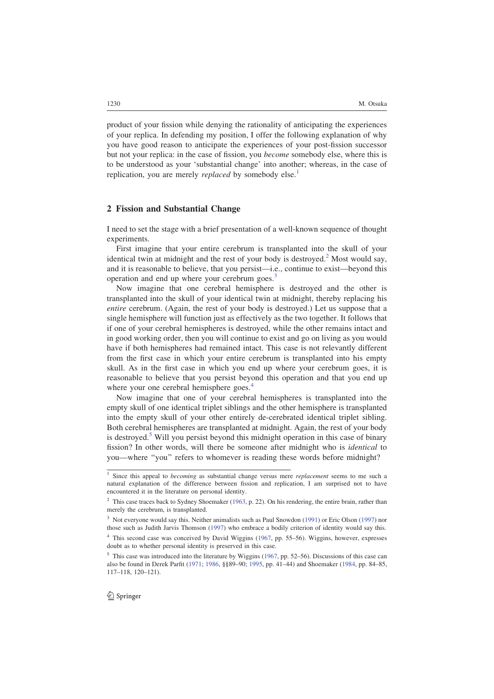product of your fission while denying the rationality of anticipating the experiences of your replica. In defending my position, I offer the following explanation of why you have good reason to anticipate the experiences of your post-fission successor but not your replica: in the case of fission, you become somebody else, where this is to be understood as your 'substantial change' into another; whereas, in the case of replication, you are merely *replaced* by somebody else.<sup>1</sup>

#### 2 Fission and Substantial Change

I need to set the stage with a brief presentation of a well-known sequence of thought experiments.

First imagine that your entire cerebrum is transplanted into the skull of your identical twin at midnight and the rest of your body is destroyed.<sup>2</sup> Most would say, and it is reasonable to believe, that you persist—i.e., continue to exist—beyond this operation and end up where your cerebrum goes.<sup>3</sup>

Now imagine that one cerebral hemisphere is destroyed and the other is transplanted into the skull of your identical twin at midnight, thereby replacing his entire cerebrum. (Again, the rest of your body is destroyed.) Let us suppose that a single hemisphere will function just as effectively as the two together. It follows that if one of your cerebral hemispheres is destroyed, while the other remains intact and in good working order, then you will continue to exist and go on living as you would have if both hemispheres had remained intact. This case is not relevantly different from the first case in which your entire cerebrum is transplanted into his empty skull. As in the first case in which you end up where your cerebrum goes, it is reasonable to believe that you persist beyond this operation and that you end up where your one cerebral hemisphere goes.<sup>4</sup>

Now imagine that one of your cerebral hemispheres is transplanted into the empty skull of one identical triplet siblings and the other hemisphere is transplanted into the empty skull of your other entirely de-cerebrated identical triplet sibling. Both cerebral hemispheres are transplanted at midnight. Again, the rest of your body is destroyed.<sup>5</sup> Will you persist beyond this midnight operation in this case of binary fission? In other words, will there be someone after midnight who is identical to you—where ''you'' refers to whomever is reading these words before midnight?

<sup>&</sup>lt;sup>1</sup> Since this appeal to *becoming* as substantial change versus mere *replacement* seems to me such a natural explanation of the difference between fission and replication, I am surprised not to have encountered it in the literature on personal identity.

<sup>&</sup>lt;sup>2</sup> This case traces back to Sydney Shoemaker (1963, p. 22). On his rendering, the entire brain, rather than merely the cerebrum, is transplanted.

<sup>&</sup>lt;sup>3</sup> Not everyone would say this. Neither animalists such as Paul Snowdon (1991) or Eric Olson (1997) nor those such as Judith Jarvis Thomson (1997) who embrace a bodily criterion of identity would say this.

<sup>&</sup>lt;sup>4</sup> This second case was conceived by David Wiggins (1967, pp. 55-56). Wiggins, however, expresses doubt as to whether personal identity is preserved in this case.

<sup>&</sup>lt;sup>5</sup> This case was introduced into the literature by Wiggins (1967, pp. 52–56). Discussions of this case can also be found in Derek Parfit (1971; 1986, §§89–90; 1995, pp. 41–44) and Shoemaker (1984, pp. 84–85, 117–118, 120–121).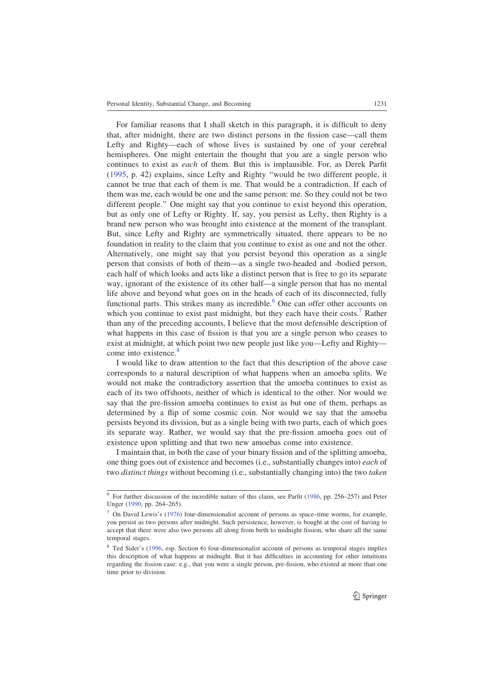For familiar reasons that I shall sketch in this paragraph, it is difficult to deny that, after midnight, there are two distinct persons in the fission case—call them Lefty and Righty—each of whose lives is sustained by one of your cerebral hemispheres. One might entertain the thought that you are a single person who continues to exist as each of them. But this is implausible. For, as Derek Parfit (1995, p. 42) explains, since Lefty and Righty ''would be two different people, it cannot be true that each of them is me. That would be a contradiction. If each of them was me, each would be one and the same person: me. So they could not be two different people.'' One might say that you continue to exist beyond this operation, but as only one of Lefty or Righty. If, say, you persist as Lefty, then Righty is a brand new person who was brought into existence at the moment of the transplant. But, since Lefty and Righty are symmetrically situated, there appears to be no foundation in reality to the claim that you continue to exist as one and not the other. Alternatively, one might say that you persist beyond this operation as a single person that consists of both of them—as a single two-headed and -bodied person, each half of which looks and acts like a distinct person that is free to go its separate way, ignorant of the existence of its other half—a single person that has no mental life above and beyond what goes on in the heads of each of its disconnected, fully functional parts. This strikes many as incredible.<sup>6</sup> One can offer other accounts on which you continue to exist past midnight, but they each have their costs.<sup>7</sup> Rather than any of the preceding accounts, I believe that the most defensible description of what happens in this case of fission is that you are a single person who ceases to exist at midnight, at which point two new people just like you—Lefty and Righty come into existence.<sup>8</sup>

I would like to draw attention to the fact that this description of the above case corresponds to a natural description of what happens when an amoeba splits. We would not make the contradictory assertion that the amoeba continues to exist as each of its two offshoots, neither of which is identical to the other. Nor would we say that the pre-fission amoeba continues to exist as but one of them, perhaps as determined by a flip of some cosmic coin. Nor would we say that the amoeba persists beyond its division, but as a single being with two parts, each of which goes its separate way. Rather, we would say that the pre-fission amoeba goes out of existence upon splitting and that two new amoebas come into existence.

I maintain that, in both the case of your binary fission and of the splitting amoeba, one thing goes out of existence and becomes (i.e., substantially changes into) each of two distinct things without becoming (i.e., substantially changing into) the two taken

<sup>&</sup>lt;sup>6</sup> For further discussion of the incredible nature of this claim, see Parfit (1986, pp. 256–257) and Peter Unger (1990, pp. 264–265).

 $<sup>7</sup>$  On David Lewis's (1976) four-dimensionalist account of persons as space–time worms, for example,</sup> you persist as two persons after midnight. Such persistence, however, is bought at the cost of having to accept that there were also two persons all along from birth to midnight fission, who share all the same temporal stages.

<sup>&</sup>lt;sup>8</sup> Ted Sider's (1996, esp. Section 6) four-dimensionalist account of persons as temporal stages implies this description of what happens at midnight. But it has difficulties in accounting for other intuitions regarding the fission case: e.g., that you were a single person, pre-fission, who existed at more than one time prior to division.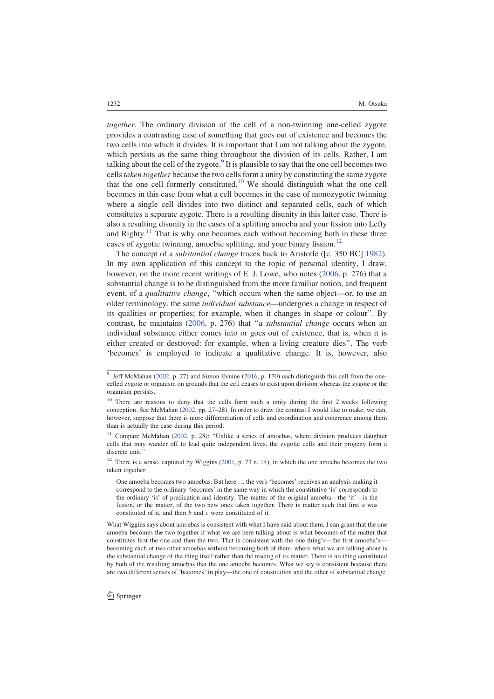together. The ordinary division of the cell of a non-twinning one-celled zygote provides a contrasting case of something that goes out of existence and becomes the two cells into which it divides. It is important that I am not talking about the zygote, which persists as the same thing throughout the division of its cells. Rather, I am talking about the cell of the zygote.<sup>9</sup> It is plausible to say that the one cell becomes two cells taken together because the two cells form a unity by constituting the same zygote that the one cell formerly constituted.<sup>10</sup> We should distinguish what the one cell becomes in this case from what a cell becomes in the case of monozygotic twinning where a single cell divides into two distinct and separated cells, each of which constitutes a separate zygote. There is a resulting disunity in this latter case. There is also a resulting disunity in the cases of a splitting amoeba and your fission into Lefty and Righty.<sup>11</sup> That is why one becomes each without becoming both in these three cases of zygotic twinning, amoebic splitting, and your binary fission.<sup>12</sup>

The concept of a substantial change traces back to Aristotle ([c. 350 BC] 1982). In my own application of this concept to the topic of personal identity, I draw, however, on the more recent writings of E. J. Lowe, who notes (2006, p. 276) that a substantial change is to be distinguished from the more familiar notion, and frequent event, of a *qualitative change*, "which occurs when the same object—or, to use an older terminology, the same individual substance—undergoes a change in respect of its qualities or properties; for example, when it changes in shape or colour''. By contrast, he maintains  $(2006, p. 276)$  that "a *substantial change* occurs when an individual substance either comes into or goes out of existence, that is, when it is either created or destroyed: for example, when a living creature dies''. The verb 'becomes' is employed to indicate a qualitative change. It is, however, also

<sup>&</sup>lt;sup>9</sup> Jeff McMahan (2002, p. 27) and Simon Evnine (2016, p. 170) each distinguish this cell from the onecelled zygote or organism on grounds that the cell ceases to exist upon division whereas the zygote or the organism persists.

<sup>&</sup>lt;sup>10</sup> There are reasons to deny that the cells form such a unity during the first 2 weeks following conception. See McMahan (2002, pp. 27–28). In order to draw the contrast I would like to make, we can, however, suppose that there is more differentiation of cells and coordination and coherence among them than is actually the case during this period.

<sup>&</sup>lt;sup>11</sup> Compare McMahan (2002, p. 28): "Unlike a series of amoebas, where division produces daughter cells that may wander off to lead quite independent lives, the zygotic cells and their progeny form a discrete unit.

<sup>&</sup>lt;sup>12</sup> There is a sense, captured by Wiggins (2001, p. 73 n. 14), in which the one amoeba becomes the two taken together:

One amoeba becomes two amoebas. But here … the verb 'becomes' receives an analysis making it correspond to the ordinary 'becomes' in the same way in which the constitutive 'is' corresponds to the ordinary 'is' of predication and identity. The matter of the original amoeba—the 'it'—is the fusion, or the matter, of the two new ones taken together. There is matter such that first  $a$  was constituted of it, and then b and c were constituted of it.

What Wiggins says about amoebas is consistent with what I have said about them. I can grant that the one amoeba becomes the two together if what we are here talking about is what becomes of the matter that constitutes first the one and then the two. That is consistent with the one thing's—the first amoeba'sbecoming each of two other amoebas without becoming both of them, where what we are talking about is the substantial change of the thing itself rather than the tracing of its matter. There is no thing constituted by both of the resulting amoebas that the one amoeba becomes. What we say is consistent because there are two different senses of 'becomes' in play—the one of constitution and the other of substantial change.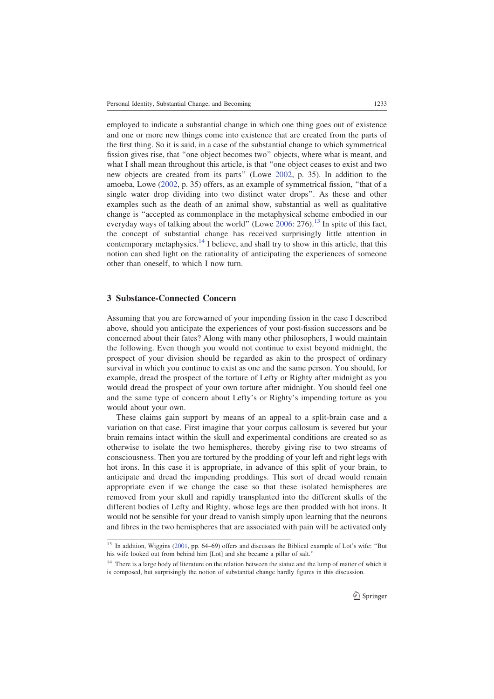employed to indicate a substantial change in which one thing goes out of existence and one or more new things come into existence that are created from the parts of the first thing. So it is said, in a case of the substantial change to which symmetrical fission gives rise, that ''one object becomes two'' objects, where what is meant, and what I shall mean throughout this article, is that ''one object ceases to exist and two new objects are created from its parts'' (Lowe 2002, p. 35). In addition to the amoeba, Lowe (2002, p. 35) offers, as an example of symmetrical fission, ''that of a single water drop dividing into two distinct water drops''. As these and other examples such as the death of an animal show, substantial as well as qualitative change is ''accepted as commonplace in the metaphysical scheme embodied in our everyday ways of talking about the world'' (Lowe 2006: 276).<sup>13</sup> In spite of this fact, the concept of substantial change has received surprisingly little attention in contemporary metaphysics.<sup>14</sup> I believe, and shall try to show in this article, that this notion can shed light on the rationality of anticipating the experiences of someone other than oneself, to which I now turn.

#### 3 Substance-Connected Concern

Assuming that you are forewarned of your impending fission in the case I described above, should you anticipate the experiences of your post-fission successors and be concerned about their fates? Along with many other philosophers, I would maintain the following. Even though you would not continue to exist beyond midnight, the prospect of your division should be regarded as akin to the prospect of ordinary survival in which you continue to exist as one and the same person. You should, for example, dread the prospect of the torture of Lefty or Righty after midnight as you would dread the prospect of your own torture after midnight. You should feel one and the same type of concern about Lefty's or Righty's impending torture as you would about your own.

These claims gain support by means of an appeal to a split-brain case and a variation on that case. First imagine that your corpus callosum is severed but your brain remains intact within the skull and experimental conditions are created so as otherwise to isolate the two hemispheres, thereby giving rise to two streams of consciousness. Then you are tortured by the prodding of your left and right legs with hot irons. In this case it is appropriate, in advance of this split of your brain, to anticipate and dread the impending proddings. This sort of dread would remain appropriate even if we change the case so that these isolated hemispheres are removed from your skull and rapidly transplanted into the different skulls of the different bodies of Lefty and Righty, whose legs are then prodded with hot irons. It would not be sensible for your dread to vanish simply upon learning that the neurons and fibres in the two hemispheres that are associated with pain will be activated only

<sup>&</sup>lt;sup>13</sup> In addition, Wiggins (2001, pp. 64–69) offers and discusses the Biblical example of Lot's wife: "But his wife looked out from behind him [Lot] and she became a pillar of salt.''

<sup>&</sup>lt;sup>14</sup> There is a large body of literature on the relation between the statue and the lump of matter of which it is composed, but surprisingly the notion of substantial change hardly figures in this discussion.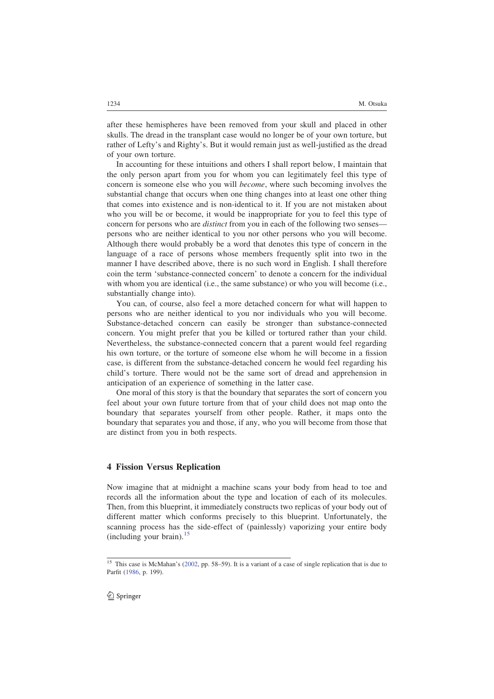after these hemispheres have been removed from your skull and placed in other skulls. The dread in the transplant case would no longer be of your own torture, but rather of Lefty's and Righty's. But it would remain just as well-justified as the dread of your own torture.

In accounting for these intuitions and others I shall report below, I maintain that the only person apart from you for whom you can legitimately feel this type of concern is someone else who you will become, where such becoming involves the substantial change that occurs when one thing changes into at least one other thing that comes into existence and is non-identical to it. If you are not mistaken about who you will be or become, it would be inappropriate for you to feel this type of concern for persons who are distinct from you in each of the following two senses persons who are neither identical to you nor other persons who you will become. Although there would probably be a word that denotes this type of concern in the language of a race of persons whose members frequently split into two in the manner I have described above, there is no such word in English. I shall therefore coin the term 'substance-connected concern' to denote a concern for the individual with whom you are identical (i.e., the same substance) or who you will become (i.e., substantially change into).

You can, of course, also feel a more detached concern for what will happen to persons who are neither identical to you nor individuals who you will become. Substance-detached concern can easily be stronger than substance-connected concern. You might prefer that you be killed or tortured rather than your child. Nevertheless, the substance-connected concern that a parent would feel regarding his own torture, or the torture of someone else whom he will become in a fission case, is different from the substance-detached concern he would feel regarding his child's torture. There would not be the same sort of dread and apprehension in anticipation of an experience of something in the latter case.

One moral of this story is that the boundary that separates the sort of concern you feel about your own future torture from that of your child does not map onto the boundary that separates yourself from other people. Rather, it maps onto the boundary that separates you and those, if any, who you will become from those that are distinct from you in both respects.

#### 4 Fission Versus Replication

Now imagine that at midnight a machine scans your body from head to toe and records all the information about the type and location of each of its molecules. Then, from this blueprint, it immediately constructs two replicas of your body out of different matter which conforms precisely to this blueprint. Unfortunately, the scanning process has the side-effect of (painlessly) vaporizing your entire body  $(including your brain).<sup>13</sup>$ 

<sup>&</sup>lt;sup>15</sup> This case is McMahan's (2002, pp. 58–59). It is a variant of a case of single replication that is due to Parfit (1986, p. 199).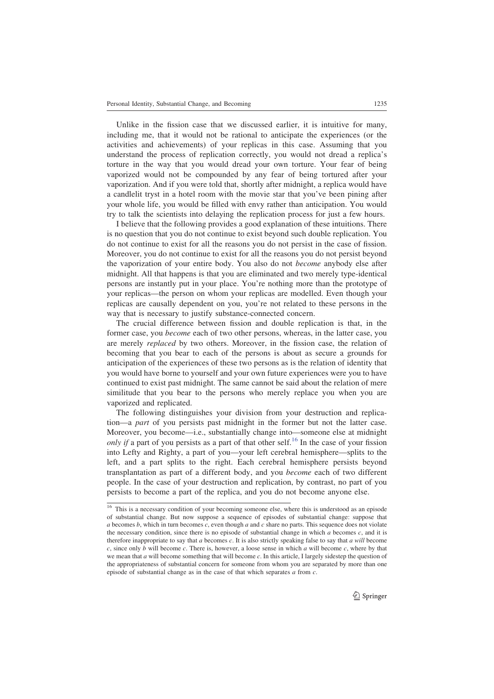Unlike in the fission case that we discussed earlier, it is intuitive for many, including me, that it would not be rational to anticipate the experiences (or the activities and achievements) of your replicas in this case. Assuming that you understand the process of replication correctly, you would not dread a replica's torture in the way that you would dread your own torture. Your fear of being vaporized would not be compounded by any fear of being tortured after your vaporization. And if you were told that, shortly after midnight, a replica would have a candlelit tryst in a hotel room with the movie star that you've been pining after your whole life, you would be filled with envy rather than anticipation. You would try to talk the scientists into delaying the replication process for just a few hours.

I believe that the following provides a good explanation of these intuitions. There is no question that you do not continue to exist beyond such double replication. You do not continue to exist for all the reasons you do not persist in the case of fission. Moreover, you do not continue to exist for all the reasons you do not persist beyond the vaporization of your entire body. You also do not become anybody else after midnight. All that happens is that you are eliminated and two merely type-identical persons are instantly put in your place. You're nothing more than the prototype of your replicas—the person on whom your replicas are modelled. Even though your replicas are causally dependent on you, you're not related to these persons in the way that is necessary to justify substance-connected concern.

The crucial difference between fission and double replication is that, in the former case, you become each of two other persons, whereas, in the latter case, you are merely *replaced* by two others. Moreover, in the fission case, the relation of becoming that you bear to each of the persons is about as secure a grounds for anticipation of the experiences of these two persons as is the relation of identity that you would have borne to yourself and your own future experiences were you to have continued to exist past midnight. The same cannot be said about the relation of mere similitude that you bear to the persons who merely replace you when you are vaporized and replicated.

The following distinguishes your division from your destruction and replication—a *part* of you persists past midnight in the former but not the latter case. Moreover, you become—i.e., substantially change into—someone else at midnight only if a part of you persists as a part of that other self.<sup>16</sup> In the case of your fission into Lefty and Righty, a part of you—your left cerebral hemisphere—splits to the left, and a part splits to the right. Each cerebral hemisphere persists beyond transplantation as part of a different body, and you become each of two different people. In the case of your destruction and replication, by contrast, no part of you persists to become a part of the replica, and you do not become anyone else.

<sup>&</sup>lt;sup>16</sup> This is a necessary condition of your becoming someone else, where this is understood as an episode of substantial change. But now suppose a sequence of episodes of substantial change: suppose that a becomes b, which in turn becomes c, even though a and c share no parts. This sequence does not violate the necessary condition, since there is no episode of substantial change in which  $a$  becomes  $c$ , and it is therefore inappropriate to say that  $a$  becomes  $c$ . It is also strictly speaking false to say that  $a$  will become c, since only b will become c. There is, however, a loose sense in which  $a$  will become c, where by that we mean that  $a$  will become something that will become  $c$ . In this article, I largely sidestep the question of the appropriateness of substantial concern for someone from whom you are separated by more than one episode of substantial change as in the case of that which separates  $a$  from  $c$ .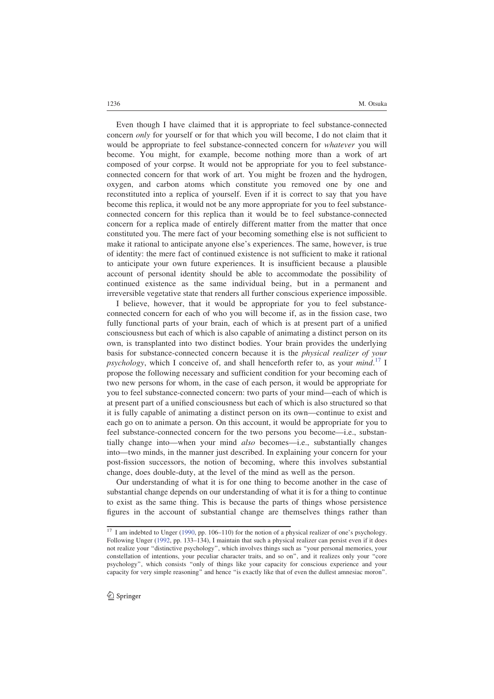Even though I have claimed that it is appropriate to feel substance-connected concern only for yourself or for that which you will become, I do not claim that it would be appropriate to feel substance-connected concern for whatever you will become. You might, for example, become nothing more than a work of art composed of your corpse. It would not be appropriate for you to feel substanceconnected concern for that work of art. You might be frozen and the hydrogen, oxygen, and carbon atoms which constitute you removed one by one and reconstituted into a replica of yourself. Even if it is correct to say that you have become this replica, it would not be any more appropriate for you to feel substanceconnected concern for this replica than it would be to feel substance-connected concern for a replica made of entirely different matter from the matter that once constituted you. The mere fact of your becoming something else is not sufficient to make it rational to anticipate anyone else's experiences. The same, however, is true of identity: the mere fact of continued existence is not sufficient to make it rational to anticipate your own future experiences. It is insufficient because a plausible account of personal identity should be able to accommodate the possibility of continued existence as the same individual being, but in a permanent and irreversible vegetative state that renders all further conscious experience impossible.

I believe, however, that it would be appropriate for you to feel substanceconnected concern for each of who you will become if, as in the fission case, two fully functional parts of your brain, each of which is at present part of a unified consciousness but each of which is also capable of animating a distinct person on its own, is transplanted into two distinct bodies. Your brain provides the underlying basis for substance-connected concern because it is the physical realizer of your psychology, which I conceive of, and shall henceforth refer to, as your  $mind.$ <sup>17</sup> I propose the following necessary and sufficient condition for your becoming each of two new persons for whom, in the case of each person, it would be appropriate for you to feel substance-connected concern: two parts of your mind—each of which is at present part of a unified consciousness but each of which is also structured so that it is fully capable of animating a distinct person on its own—continue to exist and each go on to animate a person. On this account, it would be appropriate for you to feel substance-connected concern for the two persons you become—i.e., substantially change into—when your mind also becomes—i.e., substantially changes into—two minds, in the manner just described. In explaining your concern for your post-fission successors, the notion of becoming, where this involves substantial change, does double-duty, at the level of the mind as well as the person.

Our understanding of what it is for one thing to become another in the case of substantial change depends on our understanding of what it is for a thing to continue to exist as the same thing. This is because the parts of things whose persistence figures in the account of substantial change are themselves things rather than

 $17$  I am indebted to Unger (1990, pp. 106–110) for the notion of a physical realizer of one's psychology. Following Unger (1992, pp. 133–134), I maintain that such a physical realizer can persist even if it does not realize your "distinctive psychology", which involves things such as "your personal memories, your constellation of intentions, your peculiar character traits, and so on'', and it realizes only your ''core psychology'', which consists ''only of things like your capacity for conscious experience and your capacity for very simple reasoning'' and hence ''is exactly like that of even the dullest amnesiac moron''.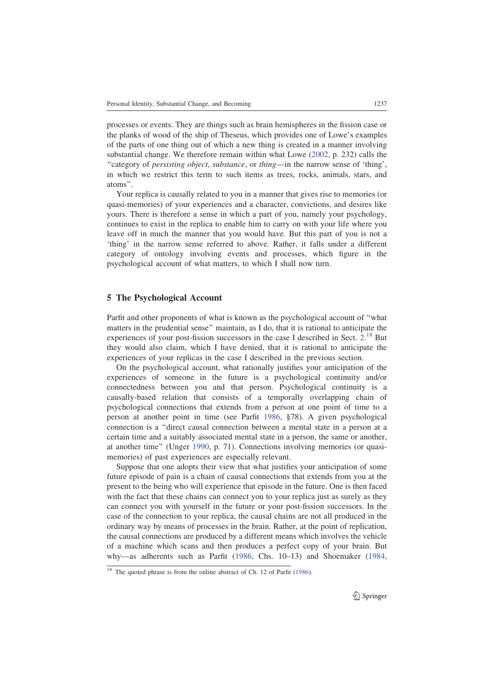processes or events. They are things such as brain hemispheres in the fission case or the planks of wood of the ship of Theseus, which provides one of Lowe's examples of the parts of one thing out of which a new thing is created in a manner involving substantial change. We therefore remain within what Lowe (2002, p. 232) calls the ''category of persisting object, substance, or thing—in the narrow sense of 'thing', in which we restrict this term to such items as trees, rocks, animals, stars, and atoms''.

Your replica is causally related to you in a manner that gives rise to memories (or quasi-memories) of your experiences and a character, convictions, and desires like yours. There is therefore a sense in which a part of you, namely your psychology, continues to exist in the replica to enable him to carry on with your life where you leave off in much the manner that you would have. But this part of you is not a 'thing' in the narrow sense referred to above. Rather, it falls under a different category of ontology involving events and processes, which figure in the psychological account of what matters, to which I shall now turn.

#### 5 The Psychological Account

Parfit and other proponents of what is known as the psychological account of ''what matters in the prudential sense'' maintain, as I do, that it is rational to anticipate the experiences of your post-fission successors in the case I described in Sect.  $2.18$  But they would also claim, which I have denied, that it is rational to anticipate the experiences of your replicas in the case I described in the previous section.

On the psychological account, what rationally justifies your anticipation of the experiences of someone in the future is a psychological continuity and/or connectedness between you and that person. Psychological continuity is a causally-based relation that consists of a temporally overlapping chain of psychological connections that extends from a person at one point of time to a person at another point in time (see Parfit 1986, §78). A given psychological connection is a ''direct causal connection between a mental state in a person at a certain time and a suitably associated mental state in a person, the same or another, at another time'' (Unger 1990, p. 71). Connections involving memories (or quasimemories) of past experiences are especially relevant.

Suppose that one adopts their view that what justifies your anticipation of some future episode of pain is a chain of causal connections that extends from you at the present to the being who will experience that episode in the future. One is then faced with the fact that these chains can connect you to your replica just as surely as they can connect you with yourself in the future or your post-fission successors. In the case of the connection to your replica, the causal chains are not all produced in the ordinary way by means of processes in the brain. Rather, at the point of replication, the causal connections are produced by a different means which involves the vehicle of a machine which scans and then produces a perfect copy of your brain. But why—as adherents such as Parfit (1986, Chs. 10–13) and Shoemaker (1984,

 $18$  The quoted phrase is from the online abstract of Ch. 12 of Parfit (1986).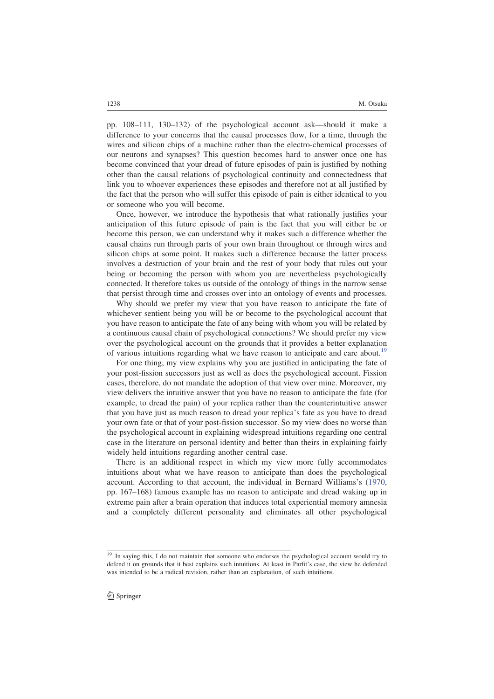pp. 108–111, 130–132) of the psychological account ask—should it make a difference to your concerns that the causal processes flow, for a time, through the wires and silicon chips of a machine rather than the electro-chemical processes of our neurons and synapses? This question becomes hard to answer once one has become convinced that your dread of future episodes of pain is justified by nothing other than the causal relations of psychological continuity and connectedness that link you to whoever experiences these episodes and therefore not at all justified by the fact that the person who will suffer this episode of pain is either identical to you or someone who you will become.

Once, however, we introduce the hypothesis that what rationally justifies your anticipation of this future episode of pain is the fact that you will either be or become this person, we can understand why it makes such a difference whether the causal chains run through parts of your own brain throughout or through wires and silicon chips at some point. It makes such a difference because the latter process involves a destruction of your brain and the rest of your body that rules out your being or becoming the person with whom you are nevertheless psychologically connected. It therefore takes us outside of the ontology of things in the narrow sense that persist through time and crosses over into an ontology of events and processes.

Why should we prefer my view that you have reason to anticipate the fate of whichever sentient being you will be or become to the psychological account that you have reason to anticipate the fate of any being with whom you will be related by a continuous causal chain of psychological connections? We should prefer my view over the psychological account on the grounds that it provides a better explanation of various intuitions regarding what we have reason to anticipate and care about.<sup>19</sup>

For one thing, my view explains why you are justified in anticipating the fate of your post-fission successors just as well as does the psychological account. Fission cases, therefore, do not mandate the adoption of that view over mine. Moreover, my view delivers the intuitive answer that you have no reason to anticipate the fate (for example, to dread the pain) of your replica rather than the counterintuitive answer that you have just as much reason to dread your replica's fate as you have to dread your own fate or that of your post-fission successor. So my view does no worse than the psychological account in explaining widespread intuitions regarding one central case in the literature on personal identity and better than theirs in explaining fairly widely held intuitions regarding another central case.

There is an additional respect in which my view more fully accommodates intuitions about what we have reason to anticipate than does the psychological account. According to that account, the individual in Bernard Williams's (1970, pp. 167–168) famous example has no reason to anticipate and dread waking up in extreme pain after a brain operation that induces total experiential memory amnesia and a completely different personality and eliminates all other psychological

In saying this, I do not maintain that someone who endorses the psychological account would try to defend it on grounds that it best explains such intuitions. At least in Parfit's case, the view he defended was intended to be a radical revision, rather than an explanation, of such intuitions.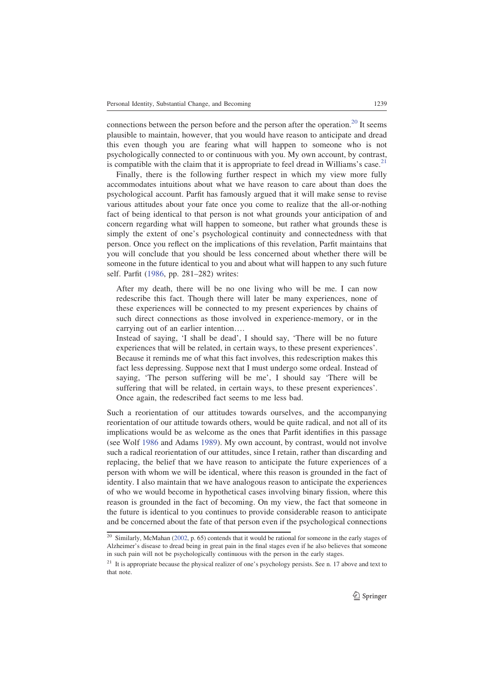connections between the person before and the person after the operation.<sup>20</sup> It seems plausible to maintain, however, that you would have reason to anticipate and dread this even though you are fearing what will happen to someone who is not psychologically connected to or continuous with you. My own account, by contrast, is compatible with the claim that it is appropriate to feel dread in Williams's case.<sup>21</sup>

Finally, there is the following further respect in which my view more fully accommodates intuitions about what we have reason to care about than does the psychological account. Parfit has famously argued that it will make sense to revise various attitudes about your fate once you come to realize that the all-or-nothing fact of being identical to that person is not what grounds your anticipation of and concern regarding what will happen to someone, but rather what grounds these is simply the extent of one's psychological continuity and connectedness with that person. Once you reflect on the implications of this revelation, Parfit maintains that you will conclude that you should be less concerned about whether there will be someone in the future identical to you and about what will happen to any such future self. Parfit (1986, pp. 281–282) writes:

After my death, there will be no one living who will be me. I can now redescribe this fact. Though there will later be many experiences, none of these experiences will be connected to my present experiences by chains of such direct connections as those involved in experience-memory, or in the carrying out of an earlier intention….

Instead of saying, 'I shall be dead', I should say, 'There will be no future experiences that will be related, in certain ways, to these present experiences'. Because it reminds me of what this fact involves, this redescription makes this fact less depressing. Suppose next that I must undergo some ordeal. Instead of saying, 'The person suffering will be me', I should say 'There will be suffering that will be related, in certain ways, to these present experiences'. Once again, the redescribed fact seems to me less bad.

Such a reorientation of our attitudes towards ourselves, and the accompanying reorientation of our attitude towards others, would be quite radical, and not all of its implications would be as welcome as the ones that Parfit identifies in this passage (see Wolf 1986 and Adams 1989). My own account, by contrast, would not involve such a radical reorientation of our attitudes, since I retain, rather than discarding and replacing, the belief that we have reason to anticipate the future experiences of a person with whom we will be identical, where this reason is grounded in the fact of identity. I also maintain that we have analogous reason to anticipate the experiences of who we would become in hypothetical cases involving binary fission, where this reason is grounded in the fact of becoming. On my view, the fact that someone in the future is identical to you continues to provide considerable reason to anticipate and be concerned about the fate of that person even if the psychological connections

 $\frac{20}{20}$  Similarly, McMahan (2002, p. 65) contends that it would be rational for someone in the early stages of Alzheimer's disease to dread being in great pain in the final stages even if he also believes that someone in such pain will not be psychologically continuous with the person in the early stages.

 $21$  It is appropriate because the physical realizer of one's psychology persists. See n. 17 above and text to that note.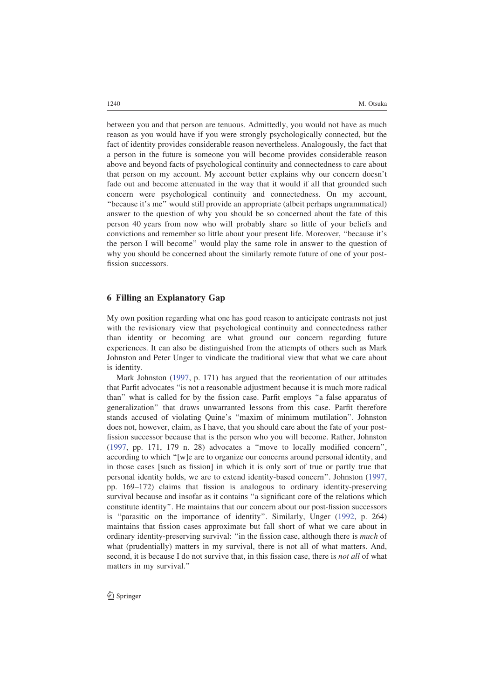between you and that person are tenuous. Admittedly, you would not have as much reason as you would have if you were strongly psychologically connected, but the fact of identity provides considerable reason nevertheless. Analogously, the fact that a person in the future is someone you will become provides considerable reason above and beyond facts of psychological continuity and connectedness to care about that person on my account. My account better explains why our concern doesn't fade out and become attenuated in the way that it would if all that grounded such concern were psychological continuity and connectedness. On my account, ''because it's me'' would still provide an appropriate (albeit perhaps ungrammatical) answer to the question of why you should be so concerned about the fate of this person 40 years from now who will probably share so little of your beliefs and convictions and remember so little about your present life. Moreover, ''because it's the person I will become'' would play the same role in answer to the question of why you should be concerned about the similarly remote future of one of your postfission successors.

#### 6 Filling an Explanatory Gap

My own position regarding what one has good reason to anticipate contrasts not just with the revisionary view that psychological continuity and connectedness rather than identity or becoming are what ground our concern regarding future experiences. It can also be distinguished from the attempts of others such as Mark Johnston and Peter Unger to vindicate the traditional view that what we care about is identity.

Mark Johnston (1997, p. 171) has argued that the reorientation of our attitudes that Parfit advocates ''is not a reasonable adjustment because it is much more radical than'' what is called for by the fission case. Parfit employs ''a false apparatus of generalization'' that draws unwarranted lessons from this case. Parfit therefore stands accused of violating Quine's ''maxim of minimum mutilation''. Johnston does not, however, claim, as I have, that you should care about the fate of your postfission successor because that is the person who you will become. Rather, Johnston (1997, pp. 171, 179 n. 28) advocates a ''move to locally modified concern'', according to which ''[w]e are to organize our concerns around personal identity, and in those cases [such as fission] in which it is only sort of true or partly true that personal identity holds, we are to extend identity-based concern''. Johnston (1997, pp. 169–172) claims that fission is analogous to ordinary identity-preserving survival because and insofar as it contains "a significant core of the relations which constitute identity''. He maintains that our concern about our post-fission successors is ''parasitic on the importance of identity''. Similarly, Unger (1992, p. 264) maintains that fission cases approximate but fall short of what we care about in ordinary identity-preserving survival: "in the fission case, although there is *much* of what (prudentially) matters in my survival, there is not all of what matters. And, second, it is because I do not survive that, in this fission case, there is *not all* of what matters in my survival.''

2 Springer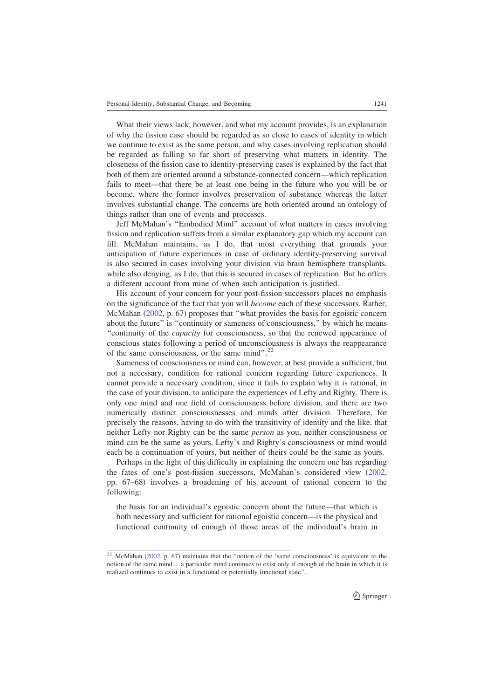What their views lack, however, and what my account provides, is an explanation of why the fission case should be regarded as so close to cases of identity in which we continue to exist as the same person, and why cases involving replication should be regarded as falling so far short of preserving what matters in identity. The closeness of the fission case to identity-preserving cases is explained by the fact that both of them are oriented around a substance-connected concern—which replication fails to meet—that there be at least one being in the future who you will be or become, where the former involves preservation of substance whereas the latter involves substantial change. The concerns are both oriented around an ontology of things rather than one of events and processes.

Jeff McMahan's ''Embodied Mind'' account of what matters in cases involving fission and replication suffers from a similar explanatory gap which my account can fill. McMahan maintains, as I do, that most everything that grounds your anticipation of future experiences in case of ordinary identity-preserving survival is also secured in cases involving your division via brain hemisphere transplants, while also denying, as I do, that this is secured in cases of replication. But he offers a different account from mine of when such anticipation is justified.

His account of your concern for your post-fission successors places no emphasis on the significance of the fact that you will become each of these successors. Rather, McMahan (2002, p. 67) proposes that ''what provides the basis for egoistic concern about the future'' is ''continuity or sameness of consciousness,'' by which he means ''continuity of the capacity for consciousness, so that the renewed appearance of conscious states following a period of unconsciousness is always the reappearance of the same consciousness, or the same mind".<sup>22</sup>

Sameness of consciousness or mind can, however, at best provide a sufficient, but not a necessary, condition for rational concern regarding future experiences. It cannot provide a necessary condition, since it fails to explain why it is rational, in the case of your division, to anticipate the experiences of Lefty and Righty. There is only one mind and one field of consciousness before division, and there are two numerically distinct consciousnesses and minds after division. Therefore, for precisely the reasons, having to do with the transitivity of identity and the like, that neither Lefty nor Righty can be the same person as you, neither consciousness or mind can be the same as yours. Lefty's and Righty's consciousness or mind would each be a continuation of yours, but neither of theirs could be the same as yours.

Perhaps in the light of this difficulty in explaining the concern one has regarding the fates of one's post-fission successors, McMahan's considered view (2002, pp. 67–68) involves a broadening of his account of rational concern to the following:

the basis for an individual's egoistic concern about the future—that which is both necessary and sufficient for rational egoistic concern—is the physical and functional continuity of enough of those areas of the individual's brain in

<sup>22</sup> McMahan (2002, p. 67) maintains that the ''notion of the 'same consciousness' is equivalent to the notion of the same mind… a particular mind continues to exist only if enough of the brain in which it is realized continues to exist in a functional or potentially functional state''.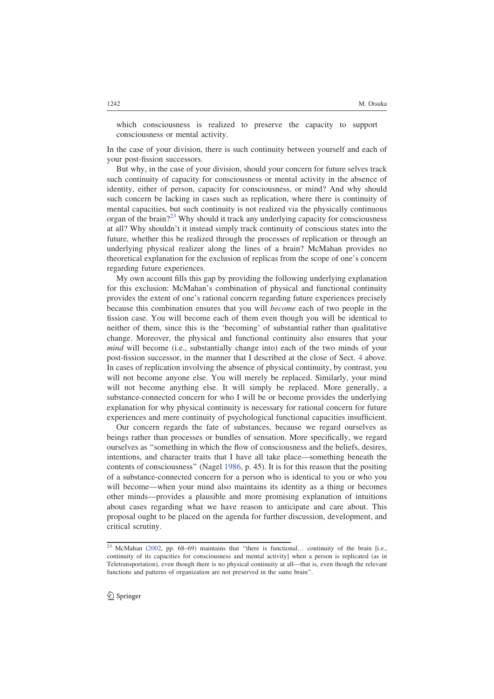which consciousness is realized to preserve the capacity to support consciousness or mental activity.

In the case of your division, there is such continuity between yourself and each of your post-fission successors.

But why, in the case of your division, should your concern for future selves track such continuity of capacity for consciousness or mental activity in the absence of identity, either of person, capacity for consciousness, or mind? And why should such concern be lacking in cases such as replication, where there is continuity of mental capacities, but such continuity is not realized via the physically continuous organ of the brain?<sup>23</sup> Why should it track any underlying capacity for consciousness at all? Why shouldn't it instead simply track continuity of conscious states into the future, whether this be realized through the processes of replication or through an underlying physical realizer along the lines of a brain? McMahan provides no theoretical explanation for the exclusion of replicas from the scope of one's concern regarding future experiences.

My own account fills this gap by providing the following underlying explanation for this exclusion: McMahan's combination of physical and functional continuity provides the extent of one's rational concern regarding future experiences precisely because this combination ensures that you will become each of two people in the fission case. You will become each of them even though you will be identical to neither of them, since this is the 'becoming' of substantial rather than qualitative change. Moreover, the physical and functional continuity also ensures that your mind will become (i.e., substantially change into) each of the two minds of your post-fission successor, in the manner that I described at the close of Sect. 4 above. In cases of replication involving the absence of physical continuity, by contrast, you will not become anyone else. You will merely be replaced. Similarly, your mind will not become anything else. It will simply be replaced. More generally, a substance-connected concern for who I will be or become provides the underlying explanation for why physical continuity is necessary for rational concern for future experiences and mere continuity of psychological functional capacities insufficient.

Our concern regards the fate of substances, because we regard ourselves as beings rather than processes or bundles of sensation. More specifically, we regard ourselves as ''something in which the flow of consciousness and the beliefs, desires, intentions, and character traits that I have all take place—something beneath the contents of consciousness'' (Nagel 1986, p. 45). It is for this reason that the positing of a substance-connected concern for a person who is identical to you or who you will become—when your mind also maintains its identity as a thing or becomes other minds—provides a plausible and more promising explanation of intuitions about cases regarding what we have reason to anticipate and care about. This proposal ought to be placed on the agenda for further discussion, development, and critical scrutiny.

<sup>&</sup>lt;sup>23</sup> McMahan (2002, pp. 68-69) maintains that "there is functional... continuity of the brain [i.e., continuity of its capacities for consciousness and mental activity] when a person is replicated (as in Teletransportation), even though there is no physical continuity at all—that is, even though the relevant functions and patterns of organization are not preserved in the same brain''.